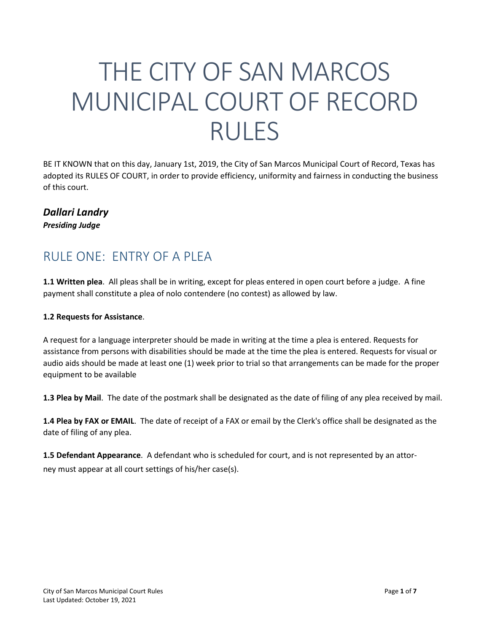# THE CITY OF SAN MARCOS MUNICIPAL COURT OF RECORD RULES

BE IT KNOWN that on this day, January 1st, 2019, the City of San Marcos Municipal Court of Record, Texas has adopted its RULES OF COURT, in order to provide efficiency, uniformity and fairness in conducting the business of this court.

#### *Dallari Landry Presiding Judge*

### RULE ONE: ENTRY OF A PLEA

**1.1 Written plea**. All pleas shall be in writing, except for pleas entered in open court before a judge. A fine payment shall constitute a plea of nolo contendere (no contest) as allowed by law.

#### **1.2 Requests for Assistance**.

A request for a language interpreter should be made in writing at the time a plea is entered. Requests for assistance from persons with disabilities should be made at the time the plea is entered. Requests for visual or audio aids should be made at least one (1) week prior to trial so that arrangements can be made for the proper equipment to be available

**1.3 Plea by Mail**. The date of the postmark shall be designated as the date of filing of any plea received by mail.

**1.4 Plea by FAX or EMAIL**. The date of receipt of a FAX or email by the Clerk's office shall be designated as the date of filing of any plea.

**1.5 Defendant Appearance**. A defendant who is scheduled for court, and is not represented by an attorney must appear at all court settings of his/her case(s).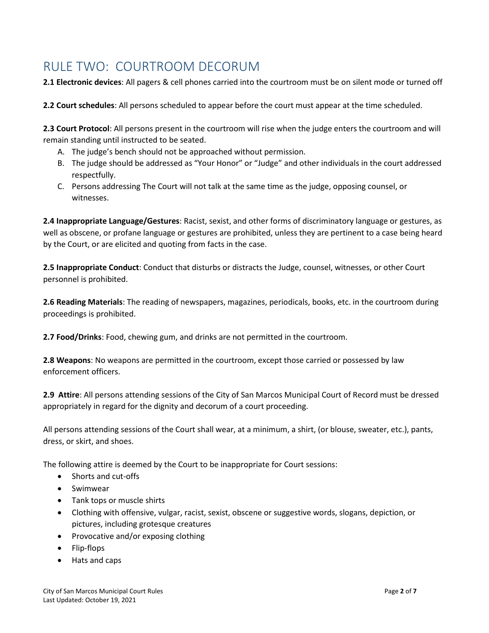# RULE TWO: COURTROOM DECORUM

**2.1 Electronic devices**: All pagers & cell phones carried into the courtroom must be on silent mode or turned off

**2.2 Court schedules**: All persons scheduled to appear before the court must appear at the time scheduled.

**2.3 Court Protocol**: All persons present in the courtroom will rise when the judge enters the courtroom and will remain standing until instructed to be seated.

- A. The judge's bench should not be approached without permission.
- B. The judge should be addressed as "Your Honor" or "Judge" and other individuals in the court addressed respectfully.
- C. Persons addressing The Court will not talk at the same time as the judge, opposing counsel, or witnesses.

**2.4 Inappropriate Language/Gestures**: Racist, sexist, and other forms of discriminatory language or gestures, as well as obscene, or profane language or gestures are prohibited, unless they are pertinent to a case being heard by the Court, or are elicited and quoting from facts in the case.

**2.5 Inappropriate Conduct**: Conduct that disturbs or distracts the Judge, counsel, witnesses, or other Court personnel is prohibited.

**2.6 Reading Materials**: The reading of newspapers, magazines, periodicals, books, etc. in the courtroom during proceedings is prohibited.

**2.7 Food/Drinks**: Food, chewing gum, and drinks are not permitted in the courtroom.

**2.8 Weapons**: No weapons are permitted in the courtroom, except those carried or possessed by law enforcement officers.

**2.9 Attire**: All persons attending sessions of the City of San Marcos Municipal Court of Record must be dressed appropriately in regard for the dignity and decorum of a court proceeding.

All persons attending sessions of the Court shall wear, at a minimum, a shirt, (or blouse, sweater, etc.), pants, dress, or skirt, and shoes.

The following attire is deemed by the Court to be inappropriate for Court sessions:

- Shorts and cut-offs
- Swimwear
- Tank tops or muscle shirts
- Clothing with offensive, vulgar, racist, sexist, obscene or suggestive words, slogans, depiction, or pictures, including grotesque creatures
- Provocative and/or exposing clothing
- Flip-flops
- Hats and caps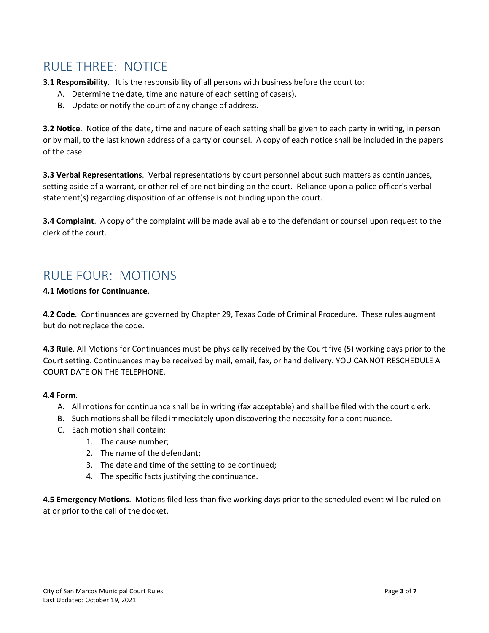### RULE THREE: NOTICE

**3.1 Responsibility**. It is the responsibility of all persons with business before the court to:

- A. Determine the date, time and nature of each setting of case(s).
- B. Update or notify the court of any change of address.

**3.2 Notice**. Notice of the date, time and nature of each setting shall be given to each party in writing, in person or by mail, to the last known address of a party or counsel. A copy of each notice shall be included in the papers of the case.

**3.3 Verbal Representations**. Verbal representations by court personnel about such matters as continuances, setting aside of a warrant, or other relief are not binding on the court. Reliance upon a police officer's verbal statement(s) regarding disposition of an offense is not binding upon the court.

**3.4 Complaint**. A copy of the complaint will be made available to the defendant or counsel upon request to the clerk of the court.

### RULE FOUR: MOTIONS

**4.1 Motions for Continuance**.

**4.2 Code**. Continuances are governed by Chapter 29, Texas Code of Criminal Procedure. These rules augment but do not replace the code.

**4.3 Rule**. All Motions for Continuances must be physically received by the Court five (5) working days prior to the Court setting. Continuances may be received by mail, email, fax, or hand delivery. YOU CANNOT RESCHEDULE A COURT DATE ON THE TELEPHONE.

#### **4.4 Form**.

- A. All motions for continuance shall be in writing (fax acceptable) and shall be filed with the court clerk.
- B. Such motions shall be filed immediately upon discovering the necessity for a continuance.
- C. Each motion shall contain:
	- 1. The cause number;
	- 2. The name of the defendant;
	- 3. The date and time of the setting to be continued;
	- 4. The specific facts justifying the continuance.

**4.5 Emergency Motions**. Motions filed less than five working days prior to the scheduled event will be ruled on at or prior to the call of the docket.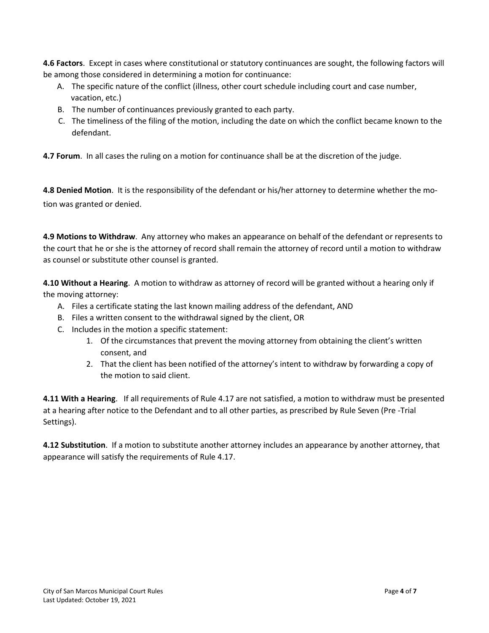**4.6 Factors**. Except in cases where constitutional or statutory continuances are sought, the following factors will be among those considered in determining a motion for continuance:

- A. The specific nature of the conflict (illness, other court schedule including court and case number, vacation, etc.)
- B. The number of continuances previously granted to each party.
- C. The timeliness of the filing of the motion, including the date on which the conflict became known to the defendant.

**4.7 Forum**. In all cases the ruling on a motion for continuance shall be at the discretion of the judge.

**4.8 Denied Motion**. It is the responsibility of the defendant or his/her attorney to determine whether the motion was granted or denied.

**4.9 Motions to Withdraw**. Any attorney who makes an appearance on behalf of the defendant or represents to the court that he or she is the attorney of record shall remain the attorney of record until a motion to withdraw as counsel or substitute other counsel is granted.

**4.10 Without a Hearing**. A motion to withdraw as attorney of record will be granted without a hearing only if the moving attorney:

- A. Files a certificate stating the last known mailing address of the defendant, AND
- B. Files a written consent to the withdrawal signed by the client, OR
- C. Includes in the motion a specific statement:
	- 1. Of the circumstances that prevent the moving attorney from obtaining the client's written consent, and
	- 2. That the client has been notified of the attorney's intent to withdraw by forwarding a copy of the motion to said client.

**4.11 With a Hearing**. If all requirements of Rule 4.17 are not satisfied, a motion to withdraw must be presented at a hearing after notice to the Defendant and to all other parties, as prescribed by Rule Seven (Pre -Trial Settings).

**4.12 Substitution**. If a motion to substitute another attorney includes an appearance by another attorney, that appearance will satisfy the requirements of Rule 4.17.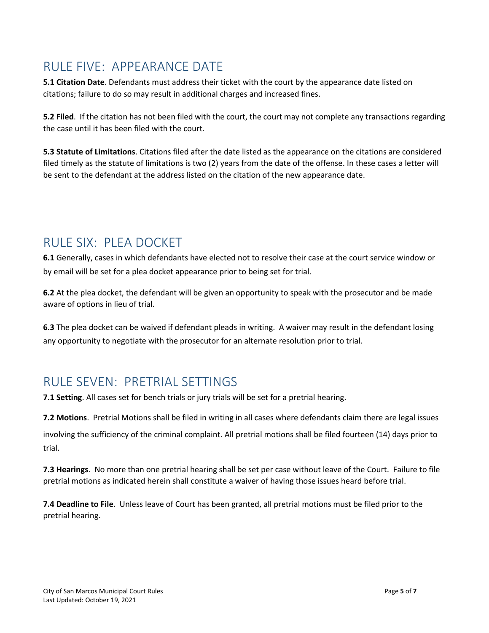# RULE FIVE: APPEARANCE DATE

**5.1 Citation Date**. Defendants must address their ticket with the court by the appearance date listed on citations; failure to do so may result in additional charges and increased fines.

**5.2 Filed**. If the citation has not been filed with the court, the court may not complete any transactions regarding the case until it has been filed with the court.

**5.3 Statute of Limitations**. Citations filed after the date listed as the appearance on the citations are considered filed timely as the statute of limitations is two (2) years from the date of the offense. In these cases a letter will be sent to the defendant at the address listed on the citation of the new appearance date.

### RULE SIX: PLEA DOCKET

**6.1** Generally, cases in which defendants have elected not to resolve their case at the court service window or by email will be set for a plea docket appearance prior to being set for trial.

**6.2** At the plea docket, the defendant will be given an opportunity to speak with the prosecutor and be made aware of options in lieu of trial.

**6.3** The plea docket can be waived if defendant pleads in writing. A waiver may result in the defendant losing any opportunity to negotiate with the prosecutor for an alternate resolution prior to trial.

# RULE SEVEN: PRETRIAL SETTINGS

**7.1 Setting**. All cases set for bench trials or jury trials will be set for a pretrial hearing.

**7.2 Motions**. Pretrial Motions shall be filed in writing in all cases where defendants claim there are legal issues

involving the sufficiency of the criminal complaint. All pretrial motions shall be filed fourteen (14) days prior to trial.

**7.3 Hearings**. No more than one pretrial hearing shall be set per case without leave of the Court. Failure to file pretrial motions as indicated herein shall constitute a waiver of having those issues heard before trial.

**7.4 Deadline to File**. Unless leave of Court has been granted, all pretrial motions must be filed prior to the pretrial hearing.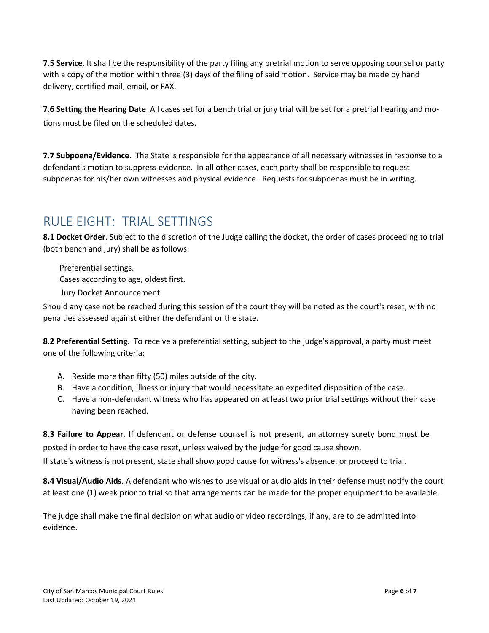**7.5 Service**. It shall be the responsibility of the party filing any pretrial motion to serve opposing counsel or party with a copy of the motion within three (3) days of the filing of said motion. Service may be made by hand delivery, certified mail, email, or FAX.

**7.6 Setting the Hearing Date** All cases set for a bench trial or jury trial will be set for a pretrial hearing and motions must be filed on the scheduled dates.

**7.7 Subpoena/Evidence**. The State is responsible for the appearance of all necessary witnesses in response to a defendant's motion to suppress evidence. In all other cases, each party shall be responsible to request subpoenas for his/her own witnesses and physical evidence. Requests for subpoenas must be in writing.

# RULE EIGHT: TRIAL SETTINGS

**8.1 Docket Order**. Subject to the discretion of the Judge calling the docket, the order of cases proceeding to trial (both bench and jury) shall be as follows:

 Preferential settings. Cases according to age, oldest first. [Jury Docket Announcement](https://www.sanmarcostx.gov/DocumentCenter/View/20567/Jury-Docket-Announcement?bidId=)

Should any case not be reached during this session of the court they will be noted as the court's reset, with no penalties assessed against either the defendant or the state.

**8.2 Preferential Setting**. To receive a preferential setting, subject to the judge's approval, a party must meet one of the following criteria:

- A. Reside more than fifty (50) miles outside of the city.
- B. Have a condition, illness or injury that would necessitate an expedited disposition of the case.
- C. Have a non-defendant witness who has appeared on at least two prior trial settings without their case having been reached.

**8.3 Failure to Appear**. If defendant or defense counsel is not present, an attorney surety bond must be posted in order to have the case reset, unless waived by the judge for good cause shown. If state's witness is not present, state shall show good cause for witness's absence, or proceed to trial.

**8.4 Visual/Audio Aids**. A defendant who wishes to use visual or audio aids in their defense must notify the court at least one (1) week prior to trial so that arrangements can be made for the proper equipment to be available.

The judge shall make the final decision on what audio or video recordings, if any, are to be admitted into evidence.